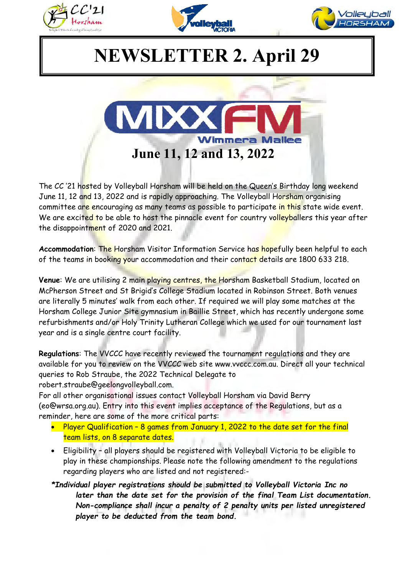





## **NEWSLETTER 2. April 29**



The CC '21 hosted by Volleyball Horsham will be held on the Queen's Birthday long weekend June 11, 12 and 13, 2022 and is rapidly approaching. The Volleyball Horsham organising committee are encouraging as many teams as possible to participate in this state wide event. We are excited to be able to host the pinnacle event for country volleyballers this year after the disappointment of 2020 and 2021.

**Accommodation**: The Horsham Visitor Information Service has hopefully been helpful to each of the teams in booking your accommodation and their contact details are 1800 633 218.

**Venue**: We are utilising 2 main playing centres, the Horsham Basketball Stadium, located on McPherson Street and St Brigid's College Stadium located in Robinson Street. Both venues are literally 5 minutes' walk from each other. If required we will play some matches at the Horsham College Junior Site gymnasium in Baillie Street, which has recently undergone some refurbishments and/or Holy Trinity Lutheran College which we used for our tournament last year and is a single centre court facility.

**Regulations**: The VVCCC have recently reviewed the tournament regulations and they are available for you to review on the VVCCC web site www.vvccc.com.au. Direct all your technical queries to Rob Straube, the 2022 Technical Delegate to robert.straube@geelongvolleyball.com.

For all other organisational issues contact Volleyball Horsham via David Berry (eo@wrsa.org.au). Entry into this event implies acceptance of the Regulations, but as a reminder, here are some of the more critical parts:

- Player Qualification 8 games from January 1, 2022 to the date set for the final team lists, on 8 separate dates.
- Eligibility all players should be registered with Volleyball Victoria to be eligible to play in these championships. Please note the following amendment to the regulations regarding players who are listed and not registered:-
- *\*Individual player registrations should be submitted to Volleyball Victoria Inc no later than the date set for the provision of the final Team List documentation. Non-compliance shall incur a penalty of 2 penalty units per listed unregistered player to be deducted from the team bond.*